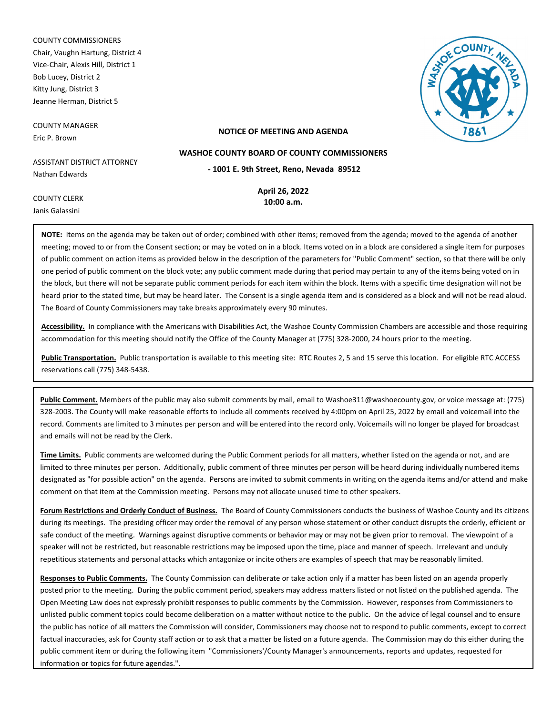COUNTY COMMISSIONERS Chair, Vaughn Hartung, District 4 Vice-Chair, Alexis Hill, District 1 Bob Lucey, District 2 Kitty Jung, District 3 Jeanne Herman, District 5

COUNTY MANAGER Eric P. Brown



### **NOTICE OF MEETING AND AGENDA**

**WASHOE COUNTY BOARD OF COUNTY COMMISSIONERS**

ASSISTANT DISTRICT ATTORNEY Nathan Edwards

**April 26, 2022 - 1001 E. 9th Street, Reno, Nevada 89512**

**10:00 a.m.**

Janis Galassini

COUNTY CLERK

**NOTE:** Items on the agenda may be taken out of order; combined with other items; removed from the agenda; moved to the agenda of another meeting; moved to or from the Consent section; or may be voted on in a block. Items voted on in a block are considered a single item for purposes of public comment on action items as provided below in the description of the parameters for "Public Comment" section, so that there will be only one period of public comment on the block vote; any public comment made during that period may pertain to any of the items being voted on in the block, but there will not be separate public comment periods for each item within the block. Items with a specific time designation will not be heard prior to the stated time, but may be heard later. The Consent is a single agenda item and is considered as a block and will not be read aloud. The Board of County Commissioners may take breaks approximately every 90 minutes.

**Accessibility.** In compliance with the Americans with Disabilities Act, the Washoe County Commission Chambers are accessible and those requiring accommodation for this meeting should notify the Office of the County Manager at (775) 328-2000, 24 hours prior to the meeting.

**Public Transportation.** Public transportation is available to this meeting site: RTC Routes 2, 5 and 15 serve this location. For eligible RTC ACCESS reservations call (775) 348-5438.

**Public Comment.** Members of the public may also submit comments by mail, email to Washoe311@washoecounty.gov, or voice message at: (775) 328-2003. The County will make reasonable efforts to include all comments received by 4:00pm on April 25, 2022 by email and voicemail into the record. Comments are limited to 3 minutes per person and will be entered into the record only. Voicemails will no longer be played for broadcast and emails will not be read by the Clerk.

**Time Limits.** Public comments are welcomed during the Public Comment periods for all matters, whether listed on the agenda or not, and are limited to three minutes per person. Additionally, public comment of three minutes per person will be heard during individually numbered items designated as "for possible action" on the agenda. Persons are invited to submit comments in writing on the agenda items and/or attend and make comment on that item at the Commission meeting. Persons may not allocate unused time to other speakers.

**Forum Restrictions and Orderly Conduct of Business.** The Board of County Commissioners conducts the business of Washoe County and its citizens during its meetings. The presiding officer may order the removal of any person whose statement or other conduct disrupts the orderly, efficient or safe conduct of the meeting. Warnings against disruptive comments or behavior may or may not be given prior to removal. The viewpoint of a speaker will not be restricted, but reasonable restrictions may be imposed upon the time, place and manner of speech. Irrelevant and unduly repetitious statements and personal attacks which antagonize or incite others are examples of speech that may be reasonably limited.

**Responses to Public Comments.** The County Commission can deliberate or take action only if a matter has been listed on an agenda properly posted prior to the meeting. During the public comment period, speakers may address matters listed or not listed on the published agenda. The Open Meeting Law does not expressly prohibit responses to public comments by the Commission. However, responses from Commissioners to unlisted public comment topics could become deliberation on a matter without notice to the public. On the advice of legal counsel and to ensure the public has notice of all matters the Commission will consider, Commissioners may choose not to respond to public comments, except to correct factual inaccuracies, ask for County staff action or to ask that a matter be listed on a future agenda. The Commission may do this either during the public comment item or during the following item "Commissioners'/County Manager's announcements, reports and updates, requested for information or topics for future agendas.".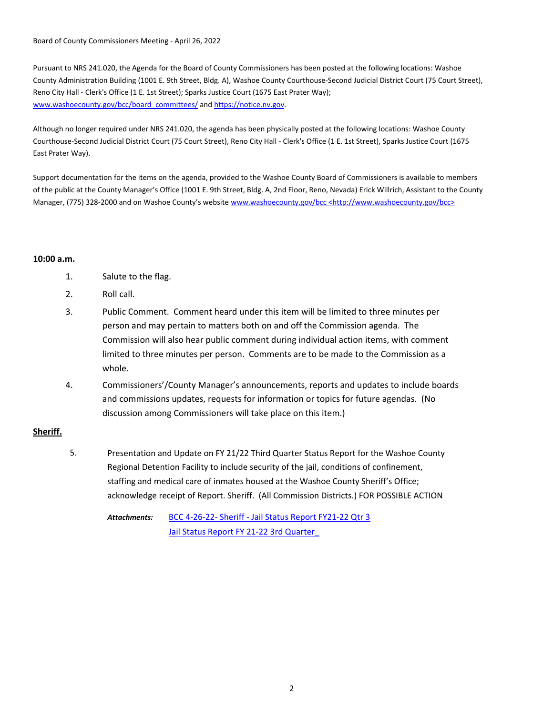Board of County Commissioners Meeting - April 26, 2022

Pursuant to NRS 241.020, the Agenda for the Board of County Commissioners has been posted at the following locations: Washoe County Administration Building (1001 E. 9th Street, Bldg. A), Washoe County Courthouse-Second Judicial District Court (75 Court Street), Reno City Hall - Clerk's Office (1 E. 1st Street); Sparks Justice Court (1675 East Prater Way); www.washoecounty.gov/bcc/board\_committees/ and https://notice.nv.gov.

Although no longer required under NRS 241.020, the agenda has been physically posted at the following locations: Washoe County Courthouse-Second Judicial District Court (75 Court Street), Reno City Hall - Clerk's Office (1 E. 1st Street), Sparks Justice Court (1675 East Prater Way).

Support documentation for the items on the agenda, provided to the Washoe County Board of Commissioners is available to members of the public at the County Manager's Office (1001 E. 9th Street, Bldg. A, 2nd Floor, Reno, Nevada) Erick Willrich, Assistant to the County Manager, (775) 328-2000 and on Washoe County's website www.washoecounty.gov/bcc <http://www.washoecounty.gov/bcc>

# **10:00 a.m.**

- 1. Salute to the flag.
- 2. Roll call.
- 3. Public Comment. Comment heard under this item will be limited to three minutes per person and may pertain to matters both on and off the Commission agenda. The Commission will also hear public comment during individual action items, with comment limited to three minutes per person. Comments are to be made to the Commission as a whole.
- 4. Commissioners'/County Manager's announcements, reports and updates to include boards and commissions updates, requests for information or topics for future agendas. (No discussion among Commissioners will take place on this item.)

# **Sheriff.**

Presentation and Update on FY 21/22 Third Quarter Status Report for the Washoe County Regional Detention Facility to include security of the jail, conditions of confinement, staffing and medical care of inmates housed at the Washoe County Sheriff's Office; acknowledge receipt of Report. Sheriff. (All Commission Districts.) FOR POSSIBLE ACTION 5.

[BCC 4-26-22- Sheriff - Jail Status Report FY21-22 Qtr 3](http://washoe-nv.legistar.com/gateway.aspx?M=F&ID=d6d54e95-3b80-4ca4-a954-409b845d73e9.doc) [Jail Status Report FY 21-22 3rd Quarter\\_](http://washoe-nv.legistar.com/gateway.aspx?M=F&ID=c31f1b64-1bca-4944-ba10-40139770f9a2.pptx) *Attachments:*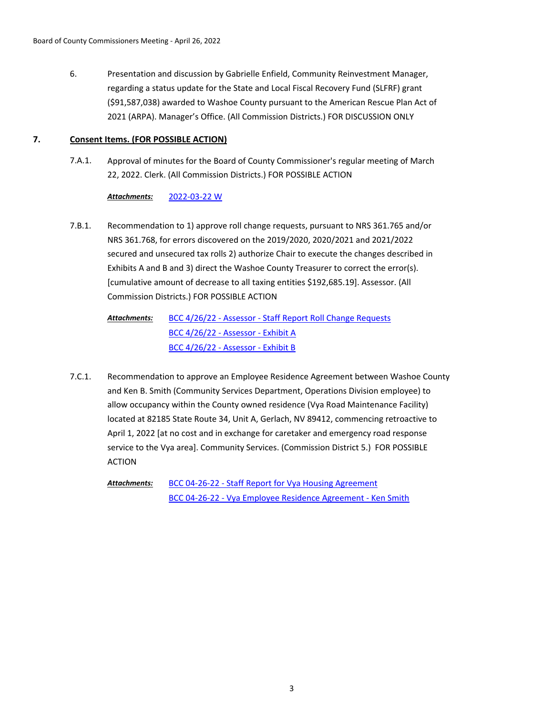Presentation and discussion by Gabrielle Enfield, Community Reinvestment Manager, regarding a status update for the State and Local Fiscal Recovery Fund (SLFRF) grant (\$91,587,038) awarded to Washoe County pursuant to the American Rescue Plan Act of 2021 (ARPA). Manager's Office. (All Commission Districts.) FOR DISCUSSION ONLY 6.

# **7. Consent Items. (FOR POSSIBLE ACTION)**

Approval of minutes for the Board of County Commissioner's regular meeting of March 22, 2022. Clerk. (All Commission Districts.) FOR POSSIBLE ACTION 7.A.1.

# *Attachments:* [2022-03-22 W](http://washoe-nv.legistar.com/gateway.aspx?M=F&ID=2efed8eb-04f5-4ced-b5ba-abc2900c6b08.pdf)

Recommendation to 1) approve roll change requests, pursuant to NRS 361.765 and/or NRS 361.768, for errors discovered on the 2019/2020, 2020/2021 and 2021/2022 secured and unsecured tax rolls 2) authorize Chair to execute the changes described in Exhibits A and B and 3) direct the Washoe County Treasurer to correct the error(s). [cumulative amount of decrease to all taxing entities \$192,685.19]. Assessor. (All Commission Districts.) FOR POSSIBLE ACTION 7.B.1.

> [BCC 4/26/22 - Assessor - Staff Report Roll Change Requests](http://washoe-nv.legistar.com/gateway.aspx?M=F&ID=e9ad2749-2f81-4d87-b394-653ded6d1b93.docx) [BCC 4/26/22 - Assessor - Exhibit A](http://washoe-nv.legistar.com/gateway.aspx?M=F&ID=663704d4-54ad-41d9-8fbd-180981b659f6.pdf) [BCC 4/26/22 - Assessor - Exhibit B](http://washoe-nv.legistar.com/gateway.aspx?M=F&ID=2419b105-689b-4452-884c-3a5997144dc1.pdf) *Attachments:*

Recommendation to approve an Employee Residence Agreement between Washoe County and Ken B. Smith (Community Services Department, Operations Division employee) to allow occupancy within the County owned residence (Vya Road Maintenance Facility) located at 82185 State Route 34, Unit A, Gerlach, NV 89412, commencing retroactive to April 1, 2022 [at no cost and in exchange for caretaker and emergency road response service to the Vya area]. Community Services. (Commission District 5.) FOR POSSIBLE ACTION 7.C.1.

[BCC 04-26-22 - Staff Report for Vya Housing Agreement](http://washoe-nv.legistar.com/gateway.aspx?M=F&ID=13808bff-c5b4-4bc2-9db1-a2c7b76c99ff.doc) [BCC 04-26-22 - Vya Employee Residence Agreement - Ken Smith](http://washoe-nv.legistar.com/gateway.aspx?M=F&ID=2d05564e-072b-458b-86d4-bd3450f8baaf.pdf) *Attachments:*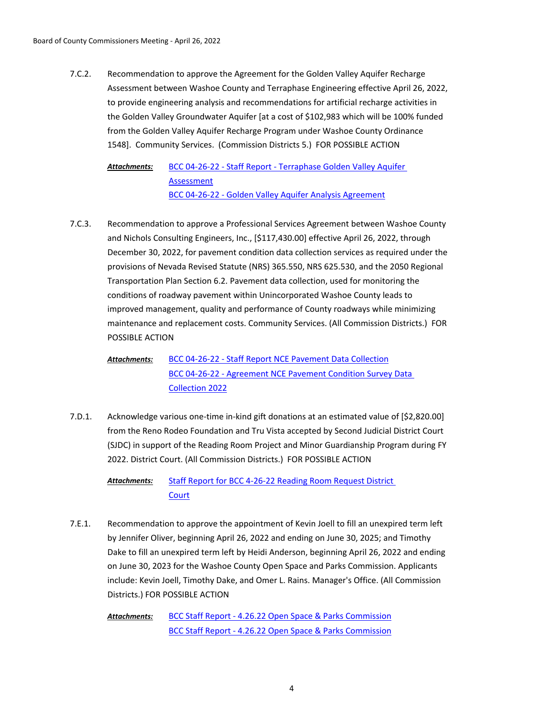Recommendation to approve the Agreement for the Golden Valley Aquifer Recharge Assessment between Washoe County and Terraphase Engineering effective April 26, 2022, to provide engineering analysis and recommendations for artificial recharge activities in the Golden Valley Groundwater Aquifer [at a cost of \$102,983 which will be 100% funded from the Golden Valley Aquifer Recharge Program under Washoe County Ordinance 1548]. Community Services. (Commission Districts 5.) FOR POSSIBLE ACTION 7.C.2.

[BCC 04-26-22 - Staff Report - Terraphase Golden Valley Aquifer](http://washoe-nv.legistar.com/gateway.aspx?M=F&ID=ed5995d4-259a-4821-8831-746fc868aa37.doc)  Assessment [BCC 04-26-22 - Golden Valley Aquifer Analysis Agreement](http://washoe-nv.legistar.com/gateway.aspx?M=F&ID=1e89c22a-03b5-4b88-9fb4-f77ac809c82a.pdf) *Attachments:*

Recommendation to approve a Professional Services Agreement between Washoe County and Nichols Consulting Engineers, Inc., [\$117,430.00] effective April 26, 2022, through December 30, 2022, for pavement condition data collection services as required under the provisions of Nevada Revised Statute (NRS) 365.550, NRS 625.530, and the 2050 Regional Transportation Plan Section 6.2. Pavement data collection, used for monitoring the conditions of roadway pavement within Unincorporated Washoe County leads to improved management, quality and performance of County roadways while minimizing maintenance and replacement costs. Community Services. (All Commission Districts.) FOR POSSIBLE ACTION 7.C.3.

[BCC 04-26-22 - Staff Report NCE Pavement Data Collection](http://washoe-nv.legistar.com/gateway.aspx?M=F&ID=eb88fde2-6aa9-438d-b75a-13a9665a94ae.doc) [BCC 04-26-22 - Agreement NCE Pavement Condition Survey Data](http://washoe-nv.legistar.com/gateway.aspx?M=F&ID=3cb3803e-26ce-47d7-8418-7f6dfa5a2524.pdf)  Collection 2022 *Attachments:*

Acknowledge various one-time in-kind gift donations at an estimated value of [\$2,820.00] from the Reno Rodeo Foundation and Tru Vista accepted by Second Judicial District Court (SJDC) in support of the Reading Room Project and Minor Guardianship Program during FY 2022. District Court. (All Commission Districts.) FOR POSSIBLE ACTION 7.D.1.

[Staff Report for BCC 4-26-22 Reading Room Request District](http://washoe-nv.legistar.com/gateway.aspx?M=F&ID=6f7bdf81-b0e2-472f-861f-6716a8695a3f.doc)  Court *Attachments:*

Recommendation to approve the appointment of Kevin Joell to fill an unexpired term left by Jennifer Oliver, beginning April 26, 2022 and ending on June 30, 2025; and Timothy Dake to fill an unexpired term left by Heidi Anderson, beginning April 26, 2022 and ending on June 30, 2023 for the Washoe County Open Space and Parks Commission. Applicants include: Kevin Joell, Timothy Dake, and Omer L. Rains. Manager's Office. (All Commission Districts.) FOR POSSIBLE ACTION 7.E.1.

[BCC Staff Report - 4.26.22 Open Space & Parks Commission](http://washoe-nv.legistar.com/gateway.aspx?M=F&ID=50912ef8-21d7-437f-896b-436a878ef4f0.pdf) [BCC Staff Report - 4.26.22 Open Space & Parks Commission](http://washoe-nv.legistar.com/gateway.aspx?M=F&ID=62024b0b-e73c-4c36-a4e8-abf736074d29.pdf) *Attachments:*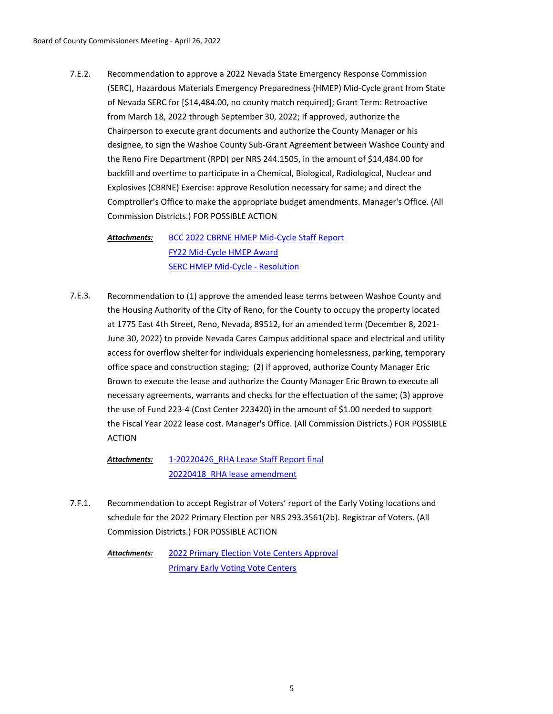Recommendation to approve a 2022 Nevada State Emergency Response Commission (SERC), Hazardous Materials Emergency Preparedness (HMEP) Mid-Cycle grant from State of Nevada SERC for [\$14,484.00, no county match required]; Grant Term: Retroactive from March 18, 2022 through September 30, 2022; If approved, authorize the Chairperson to execute grant documents and authorize the County Manager or his designee, to sign the Washoe County Sub-Grant Agreement between Washoe County and the Reno Fire Department (RPD) per NRS 244.1505, in the amount of \$14,484.00 for backfill and overtime to participate in a Chemical, Biological, Radiological, Nuclear and Explosives (CBRNE) Exercise: approve Resolution necessary for same; and direct the Comptroller's Office to make the appropriate budget amendments. Manager's Office. (All Commission Districts.) FOR POSSIBLE ACTION 7.E.2.

[BCC 2022 CBRNE HMEP Mid-Cycle Staff Report](http://washoe-nv.legistar.com/gateway.aspx?M=F&ID=e46455aa-7a06-403e-8bbe-16c1cbd7ccdc.docx) [FY22 Mid-Cycle HMEP Award](http://washoe-nv.legistar.com/gateway.aspx?M=F&ID=4a71e681-17cc-4203-a70f-1f03ea78663f.pdf) [SERC HMEP Mid-Cycle - Resolution](http://washoe-nv.legistar.com/gateway.aspx?M=F&ID=e558bfa2-8f3f-4aaa-8e4f-23f6b2a129a5.docx) *Attachments:*

Recommendation to (1) approve the amended lease terms between Washoe County and the Housing Authority of the City of Reno, for the County to occupy the property located at 1775 East 4th Street, Reno, Nevada, 89512, for an amended term (December 8, 2021- June 30, 2022) to provide Nevada Cares Campus additional space and electrical and utility access for overflow shelter for individuals experiencing homelessness, parking, temporary office space and construction staging; (2) if approved, authorize County Manager Eric Brown to execute the lease and authorize the County Manager Eric Brown to execute all necessary agreements, warrants and checks for the effectuation of the same; (3) approve the use of Fund 223-4 (Cost Center 223420) in the amount of \$1.00 needed to support the Fiscal Year 2022 lease cost. Manager's Office. (All Commission Districts.) FOR POSSIBLE ACTION 7.E.3.

[1-20220426\\_RHA Lease Staff Report final](http://washoe-nv.legistar.com/gateway.aspx?M=F&ID=5ab6e71d-96f1-49b2-a6ca-85478ecc3ec9.docx) [20220418\\_RHA lease amendment](http://washoe-nv.legistar.com/gateway.aspx?M=F&ID=3f5863da-80e3-4934-b6a6-8651259e7eb5.docx) *Attachments:*

Recommendation to accept Registrar of Voters' report of the Early Voting locations and schedule for the 2022 Primary Election per NRS 293.3561(2b). Registrar of Voters. (All Commission Districts.) FOR POSSIBLE ACTION 7.F.1.

> [2022 Primary Election Vote Centers Approval](http://washoe-nv.legistar.com/gateway.aspx?M=F&ID=6c14356a-0b15-4d2c-bca4-a736c0e054d2.doc) [Primary Early Voting Vote Centers](http://washoe-nv.legistar.com/gateway.aspx?M=F&ID=0bb1b92e-61a3-405f-a1a2-0a0340241a6a.pdf) *Attachments:*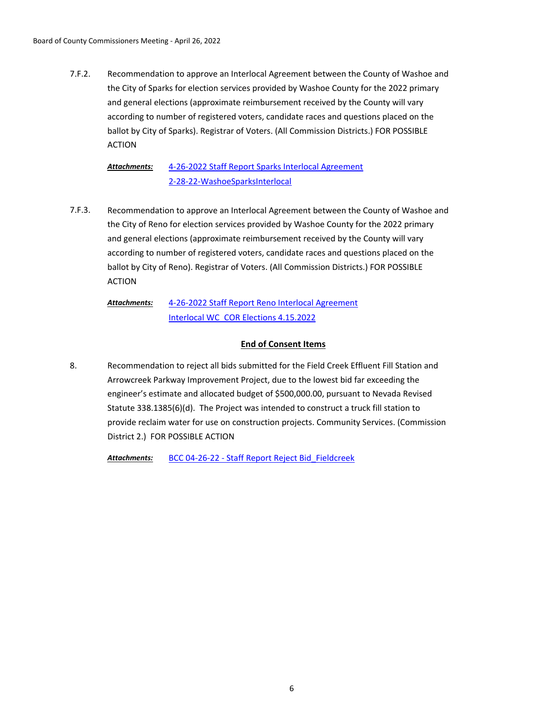Recommendation to approve an Interlocal Agreement between the County of Washoe and the City of Sparks for election services provided by Washoe County for the 2022 primary and general elections (approximate reimbursement received by the County will vary according to number of registered voters, candidate races and questions placed on the ballot by City of Sparks). Registrar of Voters. (All Commission Districts.) FOR POSSIBLE ACTION 7.F.2.

[4-26-2022 Staff Report Sparks Interlocal Agreement](http://washoe-nv.legistar.com/gateway.aspx?M=F&ID=13c235dd-84ba-42de-a2e3-f202e00354de.doc) [2-28-22-WashoeSparksInterlocal](http://washoe-nv.legistar.com/gateway.aspx?M=F&ID=c2849503-4c6b-4426-9894-99069459dea1.pdf) *Attachments:*

Recommendation to approve an Interlocal Agreement between the County of Washoe and the City of Reno for election services provided by Washoe County for the 2022 primary and general elections (approximate reimbursement received by the County will vary according to number of registered voters, candidate races and questions placed on the ballot by City of Reno). Registrar of Voters. (All Commission Districts.) FOR POSSIBLE ACTION 7.F.3.

#### [4-26-2022 Staff Report Reno Interlocal Agreement](http://washoe-nv.legistar.com/gateway.aspx?M=F&ID=88b0e268-416b-426f-a0a1-c6130a3dd0d3.doc) [Interlocal WC\\_COR Elections 4.15.2022](http://washoe-nv.legistar.com/gateway.aspx?M=F&ID=cdf44b50-98ca-401d-9a3c-d631c4fb938d.pdf) *Attachments:*

# **End of Consent Items**

Recommendation to reject all bids submitted for the Field Creek Effluent Fill Station and Arrowcreek Parkway Improvement Project, due to the lowest bid far exceeding the engineer's estimate and allocated budget of \$500,000.00, pursuant to Nevada Revised Statute 338.1385(6)(d). The Project was intended to construct a truck fill station to provide reclaim water for use on construction projects. Community Services. (Commission District 2.) FOR POSSIBLE ACTION 8.

*Attachments:* [BCC 04-26-22 - Staff Report Reject Bid\\_Fieldcreek](http://washoe-nv.legistar.com/gateway.aspx?M=F&ID=0c63a89c-1c6f-4f83-b5df-0f96758984d7.docx)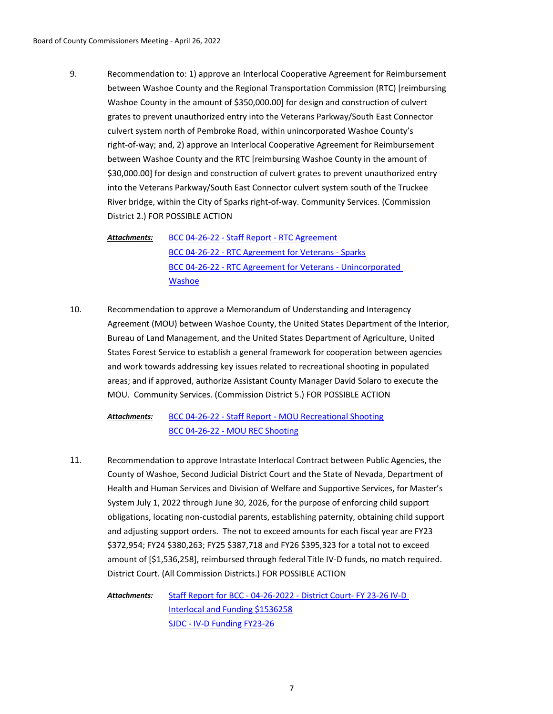Recommendation to: 1) approve an Interlocal Cooperative Agreement for Reimbursement between Washoe County and the Regional Transportation Commission (RTC) [reimbursing Washoe County in the amount of \$350,000.00] for design and construction of culvert grates to prevent unauthorized entry into the Veterans Parkway/South East Connector culvert system north of Pembroke Road, within unincorporated Washoe County's right-of-way; and, 2) approve an Interlocal Cooperative Agreement for Reimbursement between Washoe County and the RTC [reimbursing Washoe County in the amount of \$30,000.00] for design and construction of culvert grates to prevent unauthorized entry into the Veterans Parkway/South East Connector culvert system south of the Truckee River bridge, within the City of Sparks right-of-way. Community Services. (Commission District 2.) FOR POSSIBLE ACTION 9.

[BCC 04-26-22 - Staff Report - RTC Agreement](http://washoe-nv.legistar.com/gateway.aspx?M=F&ID=38b7db2c-f9bb-4477-bc4d-e4a31ea3cb9e.doc) [BCC 04-26-22 - RTC Agreement for Veterans - Sparks](http://washoe-nv.legistar.com/gateway.aspx?M=F&ID=6e9c8c2b-9224-424d-b925-863b800b2f4b.pdf) [BCC 04-26-22 - RTC Agreement for Veterans - Unincorporated](http://washoe-nv.legistar.com/gateway.aspx?M=F&ID=122112b1-e1ed-4e54-a832-a0848521c2b4.pdf)  **Washoe** *Attachments:*

Recommendation to approve a Memorandum of Understanding and Interagency Agreement (MOU) between Washoe County, the United States Department of the Interior, Bureau of Land Management, and the United States Department of Agriculture, United States Forest Service to establish a general framework for cooperation between agencies and work towards addressing key issues related to recreational shooting in populated areas; and if approved, authorize Assistant County Manager David Solaro to execute the MOU. Community Services. (Commission District 5.) FOR POSSIBLE ACTION 10.

[BCC 04-26-22 - Staff Report - MOU Recreational Shooting](http://washoe-nv.legistar.com/gateway.aspx?M=F&ID=5af67679-e6d4-4116-96ff-9af07ef46916.doc) [BCC 04-26-22 - MOU REC Shooting](http://washoe-nv.legistar.com/gateway.aspx?M=F&ID=5f7b37a8-5876-4bc4-957a-99277548c6f2.pdf) *Attachments:*

Recommendation to approve Intrastate Interlocal Contract between Public Agencies, the County of Washoe, Second Judicial District Court and the State of Nevada, Department of Health and Human Services and Division of Welfare and Supportive Services, for Master's System July 1, 2022 through June 30, 2026, for the purpose of enforcing child support obligations, locating non-custodial parents, establishing paternity, obtaining child support and adjusting support orders. The not to exceed amounts for each fiscal year are FY23 \$372,954; FY24 \$380,263; FY25 \$387,718 and FY26 \$395,323 for a total not to exceed amount of [\$1,536,258], reimbursed through federal Title IV-D funds, no match required. District Court. (All Commission Districts.) FOR POSSIBLE ACTION 11.

[Staff Report for BCC - 04-26-2022 - District Court- FY 23-26 IV-D](http://washoe-nv.legistar.com/gateway.aspx?M=F&ID=18c39b1c-bc0a-4c17-91a4-486e994346ab.pdf)  Interlocal and Funding \$1536258 [SJDC - IV-D Funding FY23-26](http://washoe-nv.legistar.com/gateway.aspx?M=F&ID=74828ef7-ed63-47f8-b71b-fe0e51e6f382.pdf) *Attachments:*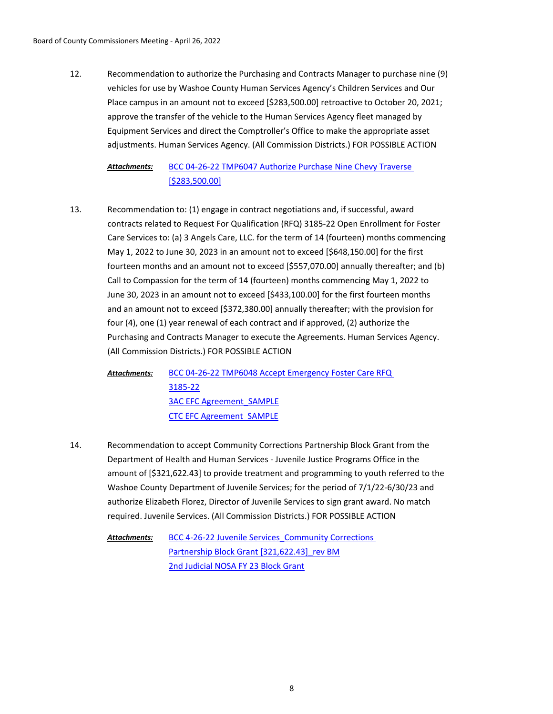Recommendation to authorize the Purchasing and Contracts Manager to purchase nine (9) vehicles for use by Washoe County Human Services Agency's Children Services and Our Place campus in an amount not to exceed [\$283,500.00] retroactive to October 20, 2021; approve the transfer of the vehicle to the Human Services Agency fleet managed by Equipment Services and direct the Comptroller's Office to make the appropriate asset adjustments. Human Services Agency. (All Commission Districts.) FOR POSSIBLE ACTION 12.

#### [BCC 04-26-22 TMP6047 Authorize Purchase Nine Chevy Traverse](http://washoe-nv.legistar.com/gateway.aspx?M=F&ID=a5fb3207-0ef6-4ac2-9f75-8578ea839878.doc)  [\$283,500.00] *Attachments:*

Recommendation to: (1) engage in contract negotiations and, if successful, award contracts related to Request For Qualification (RFQ) 3185-22 Open Enrollment for Foster Care Services to: (a) 3 Angels Care, LLC. for the term of 14 (fourteen) months commencing May 1, 2022 to June 30, 2023 in an amount not to exceed [\$648,150.00] for the first fourteen months and an amount not to exceed [\$557,070.00] annually thereafter; and (b) Call to Compassion for the term of 14 (fourteen) months commencing May 1, 2022 to June 30, 2023 in an amount not to exceed [\$433,100.00] for the first fourteen months and an amount not to exceed [\$372,380.00] annually thereafter; with the provision for four (4), one (1) year renewal of each contract and if approved, (2) authorize the Purchasing and Contracts Manager to execute the Agreements. Human Services Agency. (All Commission Districts.) FOR POSSIBLE ACTION 13.

[BCC 04-26-22 TMP6048 Accept Emergency Foster Care RFQ](http://washoe-nv.legistar.com/gateway.aspx?M=F&ID=63963e9d-36e7-4b20-9172-f0be13d91ef0.doc)  3185-22 [3AC EFC Agreement\\_SAMPLE](http://washoe-nv.legistar.com/gateway.aspx?M=F&ID=a944cc68-24e7-4515-923c-f26ae5d5c186.docx) [CTC EFC Agreement\\_SAMPLE](http://washoe-nv.legistar.com/gateway.aspx?M=F&ID=044e4c5e-d835-4b64-9597-a11a9174e968.docx) *Attachments:*

Recommendation to accept Community Corrections Partnership Block Grant from the Department of Health and Human Services - Juvenile Justice Programs Office in the amount of [\$321,622.43] to provide treatment and programming to youth referred to the Washoe County Department of Juvenile Services; for the period of 7/1/22-6/30/23 and authorize Elizabeth Florez, Director of Juvenile Services to sign grant award. No match required. Juvenile Services. (All Commission Districts.) FOR POSSIBLE ACTION 14.

BCC 4-26-22 Juvenile Services Community Corrections Partnership Block Grant [321,622.43] rev BM [2nd Judicial NOSA FY 23 Block Grant](http://washoe-nv.legistar.com/gateway.aspx?M=F&ID=9562dc73-b1e0-489f-938e-ed5583a12258.pdf) *Attachments:*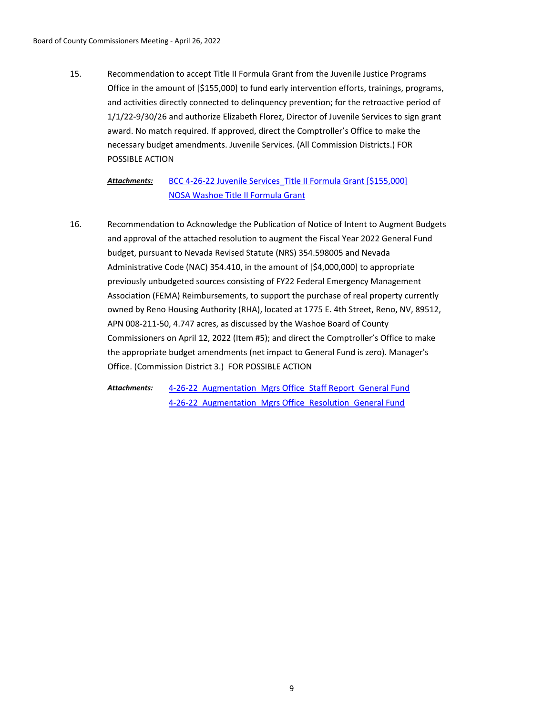Recommendation to accept Title II Formula Grant from the Juvenile Justice Programs Office in the amount of [\$155,000] to fund early intervention efforts, trainings, programs, and activities directly connected to delinquency prevention; for the retroactive period of 1/1/22-9/30/26 and authorize Elizabeth Florez, Director of Juvenile Services to sign grant award. No match required. If approved, direct the Comptroller's Office to make the necessary budget amendments. Juvenile Services. (All Commission Districts.) FOR POSSIBLE ACTION 15.

BCC 4-26-22 Juvenile Services Title II Formula Grant [\$155,000] [NOSA Washoe Title II Formula Grant](http://washoe-nv.legistar.com/gateway.aspx?M=F&ID=256af2d6-a1fc-4984-93ec-d4b3975f5635.pdf) *Attachments:*

Recommendation to Acknowledge the Publication of Notice of Intent to Augment Budgets and approval of the attached resolution to augment the Fiscal Year 2022 General Fund budget, pursuant to Nevada Revised Statute (NRS) 354.598005 and Nevada Administrative Code (NAC) 354.410, in the amount of [\$4,000,000] to appropriate previously unbudgeted sources consisting of FY22 Federal Emergency Management Association (FEMA) Reimbursements, to support the purchase of real property currently owned by Reno Housing Authority (RHA), located at 1775 E. 4th Street, Reno, NV, 89512, APN 008-211-50, 4.747 acres, as discussed by the Washoe Board of County Commissioners on April 12, 2022 (Item #5); and direct the Comptroller's Office to make the appropriate budget amendments (net impact to General Fund is zero). Manager's Office. (Commission District 3.) FOR POSSIBLE ACTION 16.

4-26-22 Augmentation Mgrs Office Staff Report General Fund 4-26-22 Augmentation Mgrs Office Resolution General Fund *Attachments:*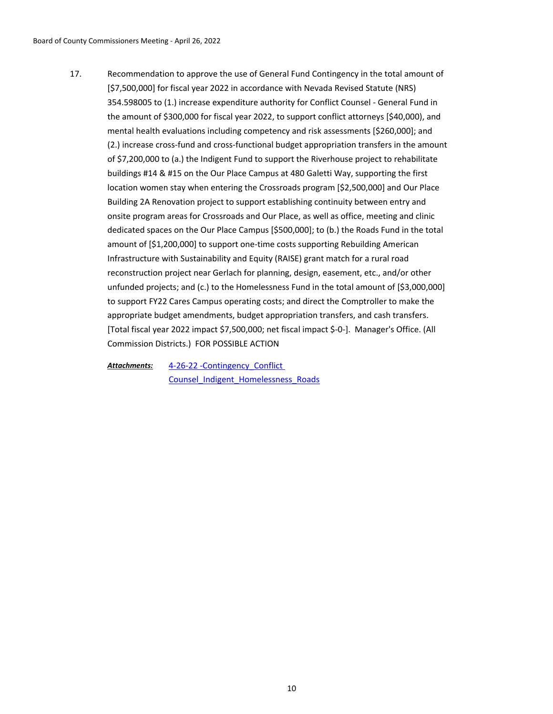Recommendation to approve the use of General Fund Contingency in the total amount of [\$7,500,000] for fiscal year 2022 in accordance with Nevada Revised Statute (NRS) 354.598005 to (1.) increase expenditure authority for Conflict Counsel - General Fund in the amount of \$300,000 for fiscal year 2022, to support conflict attorneys [\$40,000), and mental health evaluations including competency and risk assessments [\$260,000]; and (2.) increase cross-fund and cross-functional budget appropriation transfers in the amount of \$7,200,000 to (a.) the Indigent Fund to support the Riverhouse project to rehabilitate buildings #14 & #15 on the Our Place Campus at 480 Galetti Way, supporting the first location women stay when entering the Crossroads program [\$2,500,000] and Our Place Building 2A Renovation project to support establishing continuity between entry and onsite program areas for Crossroads and Our Place, as well as office, meeting and clinic dedicated spaces on the Our Place Campus [\$500,000]; to (b.) the Roads Fund in the total amount of [\$1,200,000] to support one-time costs supporting Rebuilding American Infrastructure with Sustainability and Equity (RAISE) grant match for a rural road reconstruction project near Gerlach for planning, design, easement, etc., and/or other unfunded projects; and (c.) to the Homelessness Fund in the total amount of [\$3,000,000] to support FY22 Cares Campus operating costs; and direct the Comptroller to make the appropriate budget amendments, budget appropriation transfers, and cash transfers. [Total fiscal year 2022 impact \$7,500,000; net fiscal impact \$-0-]. Manager's Office. (All Commission Districts.) FOR POSSIBLE ACTION 17.

4-26-22 -Contingency\_Conflict Counsel Indigent Homelessness Roads *Attachments:*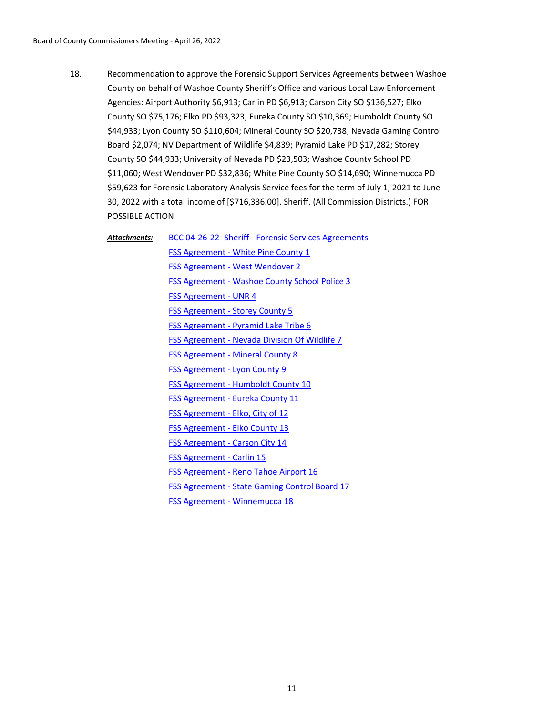Recommendation to approve the Forensic Support Services Agreements between Washoe County on behalf of Washoe County Sheriff's Office and various Local Law Enforcement Agencies: Airport Authority \$6,913; Carlin PD \$6,913; Carson City SO \$136,527; Elko County SO \$75,176; Elko PD \$93,323; Eureka County SO \$10,369; Humboldt County SO \$44,933; Lyon County SO \$110,604; Mineral County SO \$20,738; Nevada Gaming Control Board \$2,074; NV Department of Wildlife \$4,839; Pyramid Lake PD \$17,282; Storey County SO \$44,933; University of Nevada PD \$23,503; Washoe County School PD \$11,060; West Wendover PD \$32,836; White Pine County SO \$14,690; Winnemucca PD \$59,623 for Forensic Laboratory Analysis Service fees for the term of July 1, 2021 to June 30, 2022 with a total income of [\$716,336.00]. Sheriff. (All Commission Districts.) FOR POSSIBLE ACTION 18.

*Attachments:*

[BCC 04-26-22- Sheriff - Forensic Services Agreements](http://washoe-nv.legistar.com/gateway.aspx?M=F&ID=a11dd114-a5b3-42ed-8bda-7818ac73512c.doc) [FSS Agreement - White Pine County 1](http://washoe-nv.legistar.com/gateway.aspx?M=F&ID=f5ea729e-fd2e-497b-9bfd-48069b27fa8b.pdf) [FSS Agreement - West Wendover 2](http://washoe-nv.legistar.com/gateway.aspx?M=F&ID=e74b3ef7-81d7-4c24-a458-cc1d4d25c81d.pdf) [FSS Agreement - Washoe County School Police 3](http://washoe-nv.legistar.com/gateway.aspx?M=F&ID=a31052f0-3e2c-4b52-be2b-3bbb6728de0a.pdf) [FSS Agreement - UNR 4](http://washoe-nv.legistar.com/gateway.aspx?M=F&ID=a38dfb30-d4a1-497a-8281-685ff977ca16.pdf) [FSS Agreement - Storey County 5](http://washoe-nv.legistar.com/gateway.aspx?M=F&ID=61ed9732-33e9-42e2-99e8-50433bab8ed2.pdf) [FSS Agreement - Pyramid Lake Tribe 6](http://washoe-nv.legistar.com/gateway.aspx?M=F&ID=f3183ee2-5443-41b8-a332-378c2a998ec7.pdf) [FSS Agreement - Nevada Division Of Wildlife 7](http://washoe-nv.legistar.com/gateway.aspx?M=F&ID=203801bd-4c42-4e57-bb8d-8ca7a844d840.pdf) [FSS Agreement - Mineral County 8](http://washoe-nv.legistar.com/gateway.aspx?M=F&ID=5d760d72-fad4-450e-8f0f-01d869206a78.pdf) [FSS Agreement - Lyon County 9](http://washoe-nv.legistar.com/gateway.aspx?M=F&ID=91a33e0e-0361-48ae-b345-17fa88b13c9e.pdf) [FSS Agreement - Humboldt County 10](http://washoe-nv.legistar.com/gateway.aspx?M=F&ID=d64d9a9c-14d4-4ec7-bc44-c01a95d9dea2.pdf) [FSS Agreement - Eureka County 11](http://washoe-nv.legistar.com/gateway.aspx?M=F&ID=10c66394-1255-4436-8ba7-df871e926b93.pdf) [FSS Agreement - Elko, City of 12](http://washoe-nv.legistar.com/gateway.aspx?M=F&ID=a228eec9-35ea-4f7b-824a-4a82fcad211a.pdf) [FSS Agreement - Elko County 13](http://washoe-nv.legistar.com/gateway.aspx?M=F&ID=138b4d1e-a5b6-4946-bc4b-ddec50c2d3f1.pdf) [FSS Agreement - Carson City 14](http://washoe-nv.legistar.com/gateway.aspx?M=F&ID=bd692704-b765-429d-84e1-44a873c59fd4.pdf) [FSS Agreement - Carlin 15](http://washoe-nv.legistar.com/gateway.aspx?M=F&ID=f6f7bf5c-c55a-4b1f-bff7-2c968b1f1697.pdf) [FSS Agreement - Reno Tahoe Airport 16](http://washoe-nv.legistar.com/gateway.aspx?M=F&ID=f213f92b-6c8f-4c5b-9393-b51f5227060f.pdf) [FSS Agreement - State Gaming Control Board 17](http://washoe-nv.legistar.com/gateway.aspx?M=F&ID=d1ffc1b4-91d6-4b5d-96e0-cca0445706d7.pdf) [FSS Agreement - Winnemucca 18](http://washoe-nv.legistar.com/gateway.aspx?M=F&ID=a3a4121b-61e2-47a7-8105-abebf6899e69.pdf)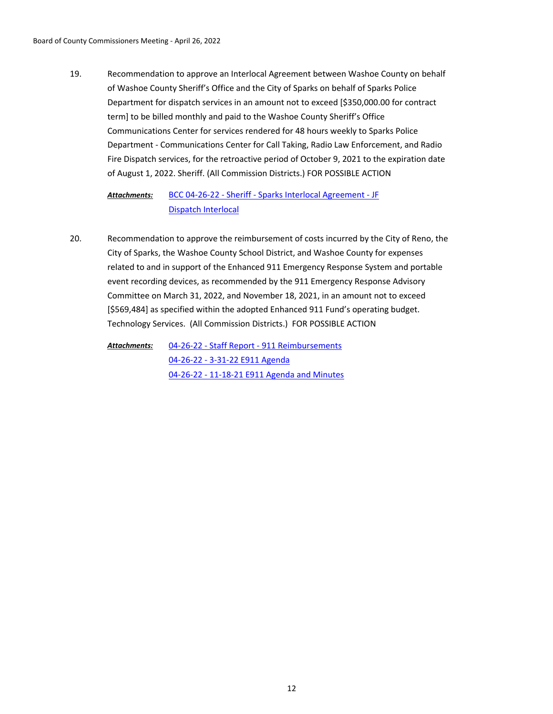Recommendation to approve an Interlocal Agreement between Washoe County on behalf of Washoe County Sheriff's Office and the City of Sparks on behalf of Sparks Police Department for dispatch services in an amount not to exceed [\$350,000.00 for contract term] to be billed monthly and paid to the Washoe County Sheriff's Office Communications Center for services rendered for 48 hours weekly to Sparks Police Department - Communications Center for Call Taking, Radio Law Enforcement, and Radio Fire Dispatch services, for the retroactive period of October 9, 2021 to the expiration date of August 1, 2022. Sheriff. (All Commission Districts.) FOR POSSIBLE ACTION 19.

#### [BCC 04-26-22 - Sheriff - Sparks Interlocal Agreement - JF](http://washoe-nv.legistar.com/gateway.aspx?M=F&ID=24d91505-f0a9-4518-95cb-af9ab2392da3.docx) [Dispatch Interlocal](http://washoe-nv.legistar.com/gateway.aspx?M=F&ID=7cddce15-6691-4eab-8fe6-5379ea01cd5c.pdf) *Attachments:*

Recommendation to approve the reimbursement of costs incurred by the City of Reno, the City of Sparks, the Washoe County School District, and Washoe County for expenses related to and in support of the Enhanced 911 Emergency Response System and portable event recording devices, as recommended by the 911 Emergency Response Advisory Committee on March 31, 2022, and November 18, 2021, in an amount not to exceed [\$569,484] as specified within the adopted Enhanced 911 Fund's operating budget. Technology Services. (All Commission Districts.) FOR POSSIBLE ACTION 20.

[04-26-22 - Staff Report - 911 Reimbursements](http://washoe-nv.legistar.com/gateway.aspx?M=F&ID=85256291-43ed-4d12-9d35-3a85a6ad185c.docx) [04-26-22 - 3-31-22 E911 Agenda](http://washoe-nv.legistar.com/gateway.aspx?M=F&ID=8888f901-c245-4386-966f-469b4951c317.pdf) [04-26-22 - 11-18-21 E911 Agenda and Minutes](http://washoe-nv.legistar.com/gateway.aspx?M=F&ID=5fbe451c-c471-4dfd-9d66-165d08753b99.pdf) *Attachments:*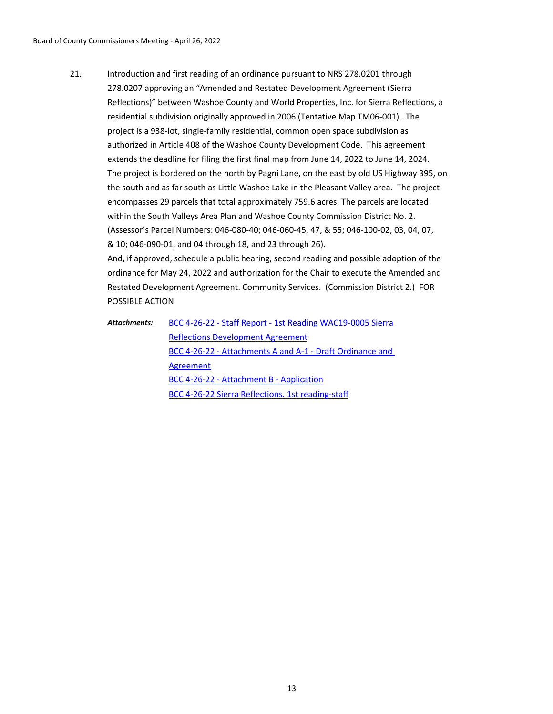Introduction and first reading of an ordinance pursuant to NRS 278.0201 through 278.0207 approving an "Amended and Restated Development Agreement (Sierra Reflections)" between Washoe County and World Properties, Inc. for Sierra Reflections, a residential subdivision originally approved in 2006 (Tentative Map TM06-001). The project is a 938-lot, single-family residential, common open space subdivision as authorized in Article 408 of the Washoe County Development Code. This agreement extends the deadline for filing the first final map from June 14, 2022 to June 14, 2024. The project is bordered on the north by Pagni Lane, on the east by old US Highway 395, on the south and as far south as Little Washoe Lake in the Pleasant Valley area. The project encompasses 29 parcels that total approximately 759.6 acres. The parcels are located within the South Valleys Area Plan and Washoe County Commission District No. 2. (Assessor's Parcel Numbers: 046-080-40; 046-060-45, 47, & 55; 046-100-02, 03, 04, 07, & 10; 046-090-01, and 04 through 18, and 23 through 26). 21.

And, if approved, schedule a public hearing, second reading and possible adoption of the ordinance for May 24, 2022 and authorization for the Chair to execute the Amended and Restated Development Agreement. Community Services. (Commission District 2.) FOR POSSIBLE ACTION

[BCC 4-26-22 - Staff Report - 1st Reading WAC19-0005 Sierra](http://washoe-nv.legistar.com/gateway.aspx?M=F&ID=969434ac-accf-4876-9520-20644cbf4d4b.docx)  Reflections Development Agreement [BCC 4-26-22 - Attachments A and A-1 - Draft Ordinance and](http://washoe-nv.legistar.com/gateway.aspx?M=F&ID=0a13db1c-4dc9-4272-b998-e18ca28d975e.pdf)  Agreement [BCC 4-26-22 - Attachment B - Application](http://washoe-nv.legistar.com/gateway.aspx?M=F&ID=f1b50603-2e20-47ae-9fe7-dd119cd2f2fc.pdf) [BCC 4-26-22 Sierra Reflections. 1st reading-staff](http://washoe-nv.legistar.com/gateway.aspx?M=F&ID=8d53f3a5-127c-4894-9207-e5b0796a8998.pdf) *Attachments:*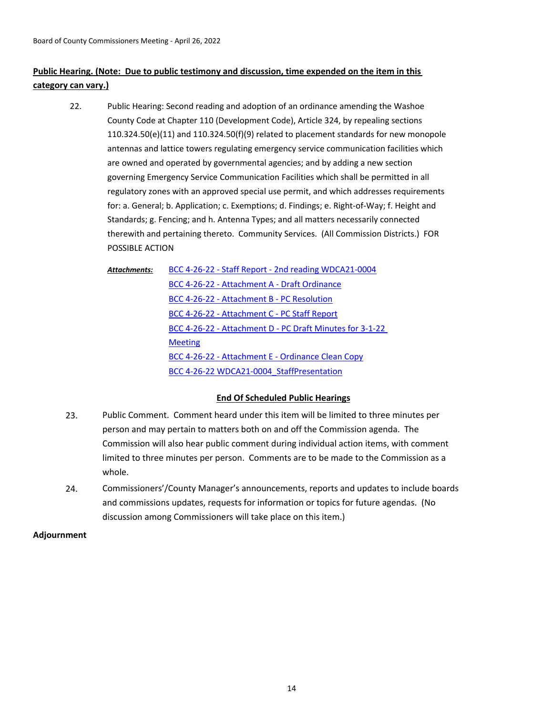# **Public Hearing. (Note: Due to public testimony and discussion, time expended on the item in this category can vary.)**

Public Hearing: Second reading and adoption of an ordinance amending the Washoe County Code at Chapter 110 (Development Code), Article 324, by repealing sections 110.324.50(e)(11) and 110.324.50(f)(9) related to placement standards for new monopole antennas and lattice towers regulating emergency service communication facilities which are owned and operated by governmental agencies; and by adding a new section governing Emergency Service Communication Facilities which shall be permitted in all regulatory zones with an approved special use permit, and which addresses requirements for: a. General; b. Application; c. Exemptions; d. Findings; e. Right-of-Way; f. Height and Standards; g. Fencing; and h. Antenna Types; and all matters necessarily connected therewith and pertaining thereto. Community Services. (All Commission Districts.) FOR POSSIBLE ACTION 22.

[BCC 4-26-22 - Staff Report - 2nd reading WDCA21-0004](http://washoe-nv.legistar.com/gateway.aspx?M=F&ID=244c4418-3f92-4f1b-b668-9f2b7bddcc98.doc) [BCC 4-26-22 - Attachment A - Draft Ordinance](http://washoe-nv.legistar.com/gateway.aspx?M=F&ID=b398dc81-87fe-43bc-9fa4-8cdbe246bc3a.pdf) [BCC 4-26-22 - Attachment B - PC Resolution](http://washoe-nv.legistar.com/gateway.aspx?M=F&ID=54ec00ff-dac5-44cf-882f-ec0f9181a88a.pdf) [BCC 4-26-22 - Attachment C - PC Staff Report](http://washoe-nv.legistar.com/gateway.aspx?M=F&ID=37aae3e1-4864-4b84-8a58-4dca8aa8a8c6.pdf) [BCC 4-26-22 - Attachment D - PC Draft Minutes for 3-1-22](http://washoe-nv.legistar.com/gateway.aspx?M=F&ID=414c5e20-d6a9-4865-aea8-f563fabed101.pdf)  **Meeting** [BCC 4-26-22 - Attachment E - Ordinance Clean Copy](http://washoe-nv.legistar.com/gateway.aspx?M=F&ID=704fd12e-8be3-4c1a-8df7-2d9adc058260.pdf) BCC 4-26-22 WDCA21-0004 StaffPresentation *Attachments:*

# **End Of Scheduled Public Hearings**

- 23. Public Comment. Comment heard under this item will be limited to three minutes per person and may pertain to matters both on and off the Commission agenda. The Commission will also hear public comment during individual action items, with comment limited to three minutes per person. Comments are to be made to the Commission as a whole.
- 24. Commissioners'/County Manager's announcements, reports and updates to include boards and commissions updates, requests for information or topics for future agendas. (No discussion among Commissioners will take place on this item.)

**Adjournment**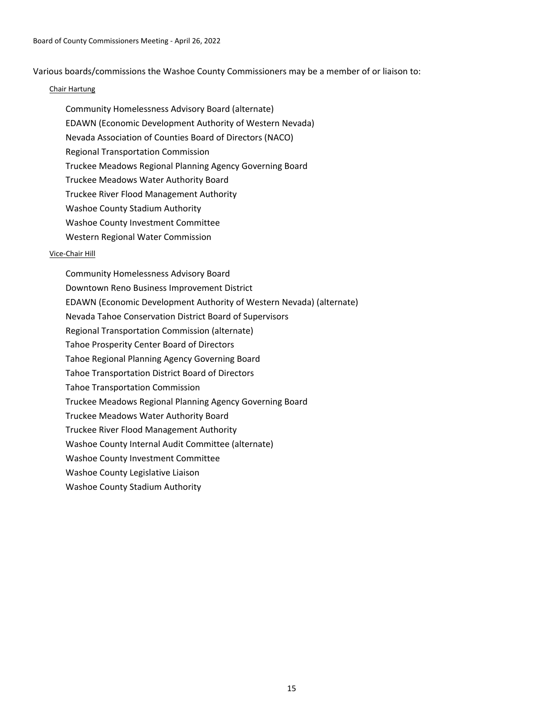Various boards/commissions the Washoe County Commissioners may be a member of or liaison to:

## Chair Hartung

- Community Homelessness Advisory Board (alternate)
- EDAWN (Economic Development Authority of Western Nevada)
- Nevada Association of Counties Board of Directors (NACO)
- Regional Transportation Commission
- Truckee Meadows Regional Planning Agency Governing Board
- Truckee Meadows Water Authority Board
- Truckee River Flood Management Authority
- Washoe County Stadium Authority
- Washoe County Investment Committee
- Western Regional Water Commission

# Vice-Chair Hill

Community Homelessness Advisory Board Downtown Reno Business Improvement District EDAWN (Economic Development Authority of Western Nevada) (alternate) Nevada Tahoe Conservation District Board of Supervisors Regional Transportation Commission (alternate) Tahoe Prosperity Center Board of Directors Tahoe Regional Planning Agency Governing Board Tahoe Transportation District Board of Directors Tahoe Transportation Commission Truckee Meadows Regional Planning Agency Governing Board Truckee Meadows Water Authority Board Truckee River Flood Management Authority Washoe County Internal Audit Committee (alternate) Washoe County Investment Committee Washoe County Legislative Liaison Washoe County Stadium Authority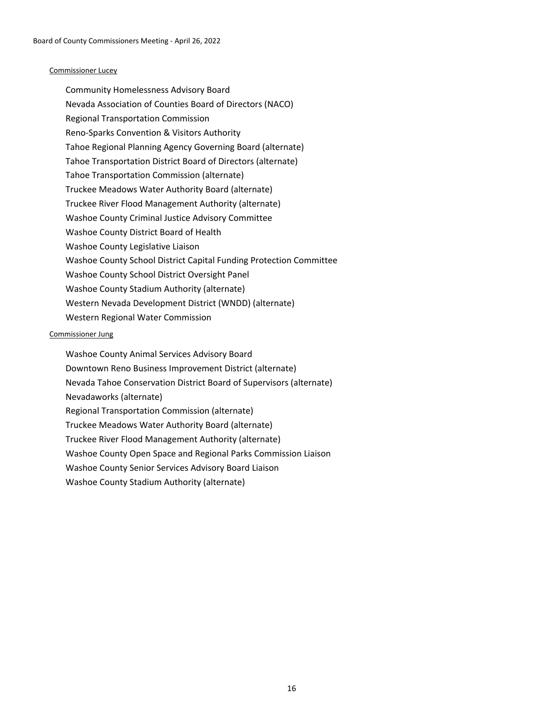## Commissioner Lucey

Community Homelessness Advisory Board Nevada Association of Counties Board of Directors (NACO) Regional Transportation Commission Reno-Sparks Convention & Visitors Authority Tahoe Regional Planning Agency Governing Board (alternate) Tahoe Transportation District Board of Directors (alternate) Tahoe Transportation Commission (alternate) Truckee Meadows Water Authority Board (alternate) Truckee River Flood Management Authority (alternate) Washoe County Criminal Justice Advisory Committee Washoe County District Board of Health Washoe County Legislative Liaison Washoe County School District Capital Funding Protection Committee Washoe County School District Oversight Panel Washoe County Stadium Authority (alternate) Western Nevada Development District (WNDD) (alternate) Western Regional Water Commission

# Commissioner Jung

Washoe County Animal Services Advisory Board Downtown Reno Business Improvement District (alternate) Nevada Tahoe Conservation District Board of Supervisors (alternate) Nevadaworks (alternate) Regional Transportation Commission (alternate) Truckee Meadows Water Authority Board (alternate) Truckee River Flood Management Authority (alternate) Washoe County Open Space and Regional Parks Commission Liaison Washoe County Senior Services Advisory Board Liaison Washoe County Stadium Authority (alternate)